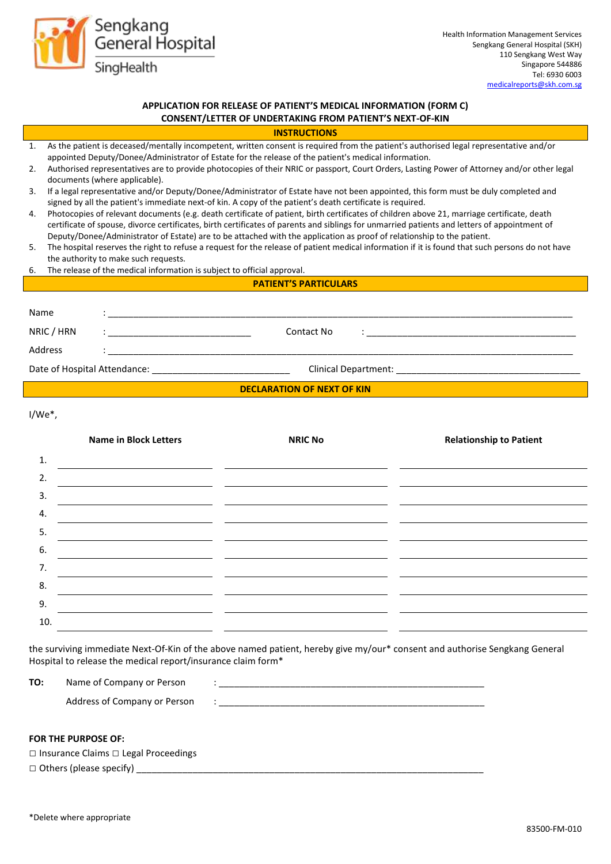

# **APPLICATION FOR RELEASE OF PATIENT'S MEDICAL INFORMATION (FORM C) CONSENT/LETTER OF UNDERTAKING FROM PATIENT'S NEXT-OF-KIN**

| <b>INSTRUCTIONS</b> |  |  |
|---------------------|--|--|
|                     |  |  |

- 1. As the patient is deceased/mentally incompetent, written consent is required from the patient's authorised legal representative and/or appointed Deputy/Donee/Administrator of Estate for the release of the patient's medical information.
- 2. Authorised representatives are to provide photocopies of their NRIC or passport, Court Orders, Lasting Power of Attorney and/or other legal documents (where applicable).
- 3. If a legal representative and/or Deputy/Donee/Administrator of Estate have not been appointed, this form must be duly completed and signed by all the patient's immediate next-of kin. A copy of the patient's death certificate is required.
- 4. Photocopies of relevant documents (e.g. death certificate of patient, birth certificates of children above 21, marriage certificate, death certificate of spouse, divorce certificates, birth certificates of parents and siblings for unmarried patients and letters of appointment of Deputy/Donee/Administrator of Estate) are to be attached with the application as proof of relationship to the patient.
- 5. The hospital reserves the right to refuse a request for the release of patient medical information if it is found that such persons do not have the authority to make such requests.
- 6. The release of the medical information is subject to official approval.

#### **PATIENT'S PARTICULARS**

| Name                              |  |                                                                                                                                                                                                                                                      |  |
|-----------------------------------|--|------------------------------------------------------------------------------------------------------------------------------------------------------------------------------------------------------------------------------------------------------|--|
| NRIC / HRN                        |  | Contact No<br>A state of the state of the state of the state of the state of the state of the state of the state of the state of<br>is a strong control of the control of the control of the control of the control of the control of the control of |  |
| Address                           |  |                                                                                                                                                                                                                                                      |  |
| Date of Hospital Attendance:      |  | Clinical Department:                                                                                                                                                                                                                                 |  |
| <b>DECLARATION OF NEXT OF KIN</b> |  |                                                                                                                                                                                                                                                      |  |

I/We\*,

|     | <b>Name in Block Letters</b>      | <b>NRIC No</b> | <b>Relationship to Patient</b> |
|-----|-----------------------------------|----------------|--------------------------------|
| 1.  |                                   |                |                                |
| 2.  |                                   |                |                                |
| 3.  |                                   |                |                                |
| 4.  | <b>Contract Contract Contract</b> |                |                                |
| 5.  |                                   |                |                                |
| 6.  |                                   |                |                                |
| 7.  |                                   |                |                                |
| 8.  |                                   |                |                                |
| 9.  |                                   |                |                                |
| 10. |                                   |                |                                |

the surviving immediate Next-Of-Kin of the above named patient, hereby give my/our\* consent and authorise Sengkang General Hospital to release the medical report/insurance claim form\*

| TO: | Name of Company or Person    |   |
|-----|------------------------------|---|
|     | Address of Company or Person | ٠ |
|     |                              |   |

# **FOR THE PURPOSE OF:**

| $\Box$ Insurance Claims $\Box$ Legal Proceedings |  |
|--------------------------------------------------|--|
| $\Box$ Others (please specify)                   |  |